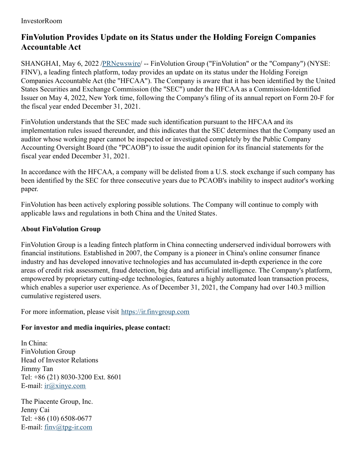## InvestorRoom

## **FinVolution Provides Update on its Status under the Holding Foreign Companies Accountable Act**

SHANGHAI, May 6, 2022 [/PRNewswire](http://www.prnewswire.com/)/ -- FinVolution Group ("FinVolution" or the "Company") (NYSE: FINV), a leading fintech platform, today provides an update on its status under the Holding Foreign Companies Accountable Act (the "HFCAA"). The Company is aware that it has been identified by the United States Securities and Exchange Commission (the "SEC") under the HFCAA as a Commission-Identified Issuer on May 4, 2022, New York time, following the Company's filing of its annual report on Form 20-F for the fiscal year ended December 31, 2021.

FinVolution understands that the SEC made such identification pursuant to the HFCAA and its implementation rules issued thereunder, and this indicates that the SEC determines that the Company used an auditor whose working paper cannot be inspected or investigated completely by the Public Company Accounting Oversight Board (the "PCAOB") to issue the audit opinion for its financial statements for the fiscal year ended December 31, 2021.

In accordance with the HFCAA, a company will be delisted from a U.S. stock exchange if such company has been identified by the SEC for three consecutive years due to PCAOB's inability to inspect auditor's working paper.

FinVolution has been actively exploring possible solutions. The Company will continue to comply with applicable laws and regulations in both China and the United States.

## **About FinVolution Group**

FinVolution Group is a leading fintech platform in China connecting underserved individual borrowers with financial institutions. Established in 2007, the Company is a pioneer in China's online consumer finance industry and has developed innovative technologies and has accumulated in-depth experience in the core areas of credit risk assessment, fraud detection, big data and artificial intelligence. The Company's platform, empowered by proprietary cutting-edge technologies, features a highly automated loan transaction process, which enables a superior user experience. As of December 31, 2021, the Company had over 140.3 million cumulative registered users.

For more information, please visit [https://ir.finvgroup.com](https://ir.finvgroup.com/)

## **For investor and media inquiries, please contact:**

In China: FinVolution Group Head of Investor Relations Jimmy Tan Tel: +86 (21) 8030-3200 Ext. 8601 E-mail: [ir@xinye.com](mailto:ir@xinye.com)

The Piacente Group, Inc. Jenny Cai Tel: +86 (10) 6508-0677 E-mail: [finv@tpg-ir.com](mailto:finv@tpg-ir.com)